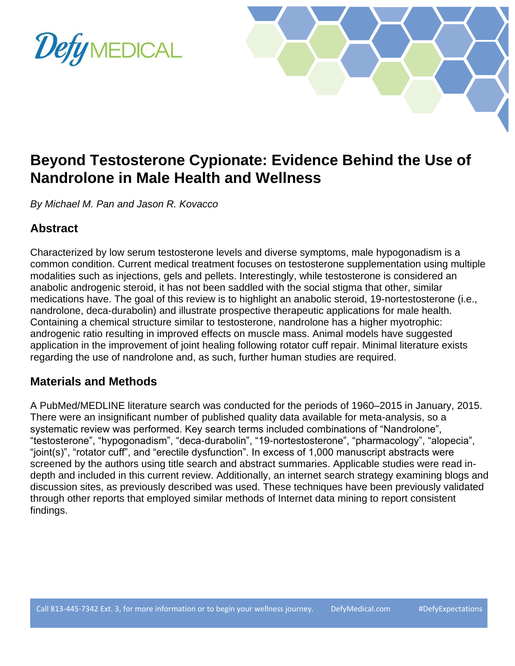

# **Beyond Testosterone Cypionate: Evidence Behind the Use of Nandrolone in Male Health and Wellness**

*By Michael M. Pan and Jason R. Kovacco*

## **Abstract**

Characterized by low serum testosterone levels and diverse symptoms, male hypogonadism is a common condition. Current medical treatment focuses on testosterone supplementation using multiple modalities such as injections, gels and pellets. Interestingly, while testosterone is considered an anabolic androgenic steroid, it has not been saddled with the social stigma that other, similar medications have. The goal of this review is to highlight an anabolic steroid, 19-nortestosterone (i.e., nandrolone, deca-durabolin) and illustrate prospective therapeutic applications for male health. Containing a chemical structure similar to testosterone, nandrolone has a higher myotrophic: androgenic ratio resulting in improved effects on muscle mass. Animal models have suggested application in the improvement of joint healing following rotator cuff repair. Minimal literature exists regarding the use of nandrolone and, as such, further human studies are required.

#### **Materials and Methods**

A PubMed/MEDLINE literature search was conducted for the periods of 1960–2015 in January, 2015. There were an insignificant number of published quality data available for meta-analysis, so a systematic review was performed. Key search terms included combinations of "Nandrolone", "testosterone", "hypogonadism", "deca-durabolin", "19-nortestosterone", "pharmacology", "alopecia", "joint(s)", "rotator cuff", and "erectile dysfunction". In excess of 1,000 manuscript abstracts were screened by the authors using title search and abstract summaries. Applicable studies were read indepth and included in this current review. Additionally, an internet search strategy examining blogs and discussion sites, as previously described was used. These techniques have been previously validated through other reports that employed similar methods of Internet data mining to report consistent findings.